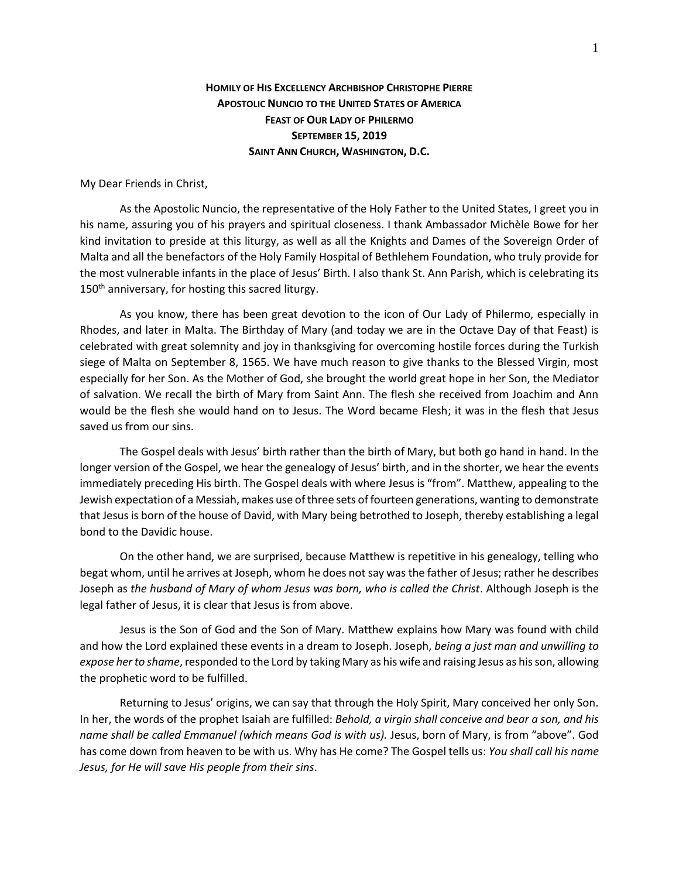## **HOMILY OF HIS EXCELLENCY ARCHBISHOP CHRISTOPHE PIERRE APOSTOLIC NUNCIO TO THE UNITED STATES OF AMERICA FEAST OF OUR LADY OF PHILERMO SEPTEMBER 15, 2019 SAINT ANN CHURCH, WASHINGTON, D.C.**

My Dear Friends in Christ,

As the Apostolic Nuncio, the representative of the Holy Father to the United States, I greet you in his name, assuring you of his prayers and spiritual closeness. I thank Ambassador Michèle Bowe for her kind invitation to preside at this liturgy, as well as all the Knights and Dames of the Sovereign Order of Malta and all the benefactors of the Holy Family Hospital of Bethlehem Foundation, who truly provide for the most vulnerable infants in the place of Jesus' Birth. I also thank St. Ann Parish, which is celebrating its 150<sup>th</sup> anniversary, for hosting this sacred liturgy.

As you know, there has been great devotion to the icon of Our Lady of Philermo, especially in Rhodes, and later in Malta. The Birthday of Mary (and today we are in the Octave Day of that Feast) is celebrated with great solemnity and joy in thanksgiving for overcoming hostile forces during the Turkish siege of Malta on September 8, 1565. We have much reason to give thanks to the Blessed Virgin, most especially for her Son. As the Mother of God, she brought the world great hope in her Son, the Mediator of salvation. We recall the birth of Mary from Saint Ann. The flesh she received from Joachim and Ann would be the flesh she would hand on to Jesus. The Word became Flesh; it was in the flesh that Jesus saved us from our sins.

The Gospel deals with Jesus' birth rather than the birth of Mary, but both go hand in hand. In the longer version of the Gospel, we hear the genealogy of Jesus' birth, and in the shorter, we hear the events immediately preceding His birth. The Gospel deals with where Jesus is "from". Matthew, appealing to the Jewish expectation of a Messiah, makes use of three sets of fourteen generations, wanting to demonstrate that Jesus is born of the house of David, with Mary being betrothed to Joseph, thereby establishing a legal bond to the Davidic house.

On the other hand, we are surprised, because Matthew is repetitive in his genealogy, telling who begat whom, until he arrives at Joseph, whom he does not say was the father of Jesus; rather he describes Joseph as *the husband of Mary of whom Jesus was born, who is called the Christ*. Although Joseph is the legal father of Jesus, it is clear that Jesus is from above.

Jesus is the Son of God and the Son of Mary. Matthew explains how Mary was found with child and how the Lord explained these events in a dream to Joseph. Joseph, *being a just man and unwilling to expose her to shame*, responded to the Lord by taking Mary as his wife and raising Jesus as his son, allowing the prophetic word to be fulfilled.

Returning to Jesus' origins, we can say that through the Holy Spirit, Mary conceived her only Son. In her, the words of the prophet Isaiah are fulfilled: *Behold, a virgin shall conceive and bear a son, and his name shall be called Emmanuel (which means God is with us).* Jesus, born of Mary, is from "above". God has come down from heaven to be with us. Why has He come? The Gospel tells us: *You shall call his name Jesus, for He will save His people from their sins*.